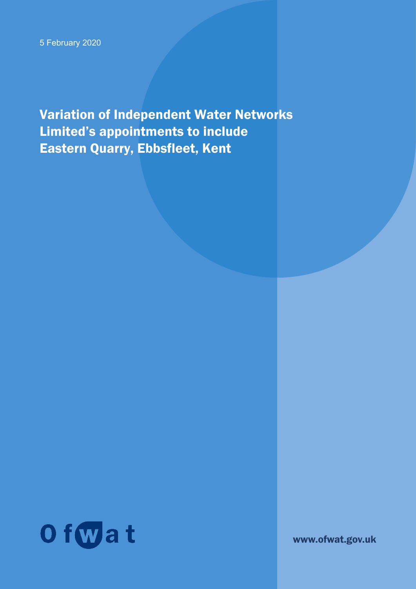Variation of Independent Water Networks Limited's appointments to include Eastern Quarry, Ebbsfleet, Kent



www.ofwat.gov.uk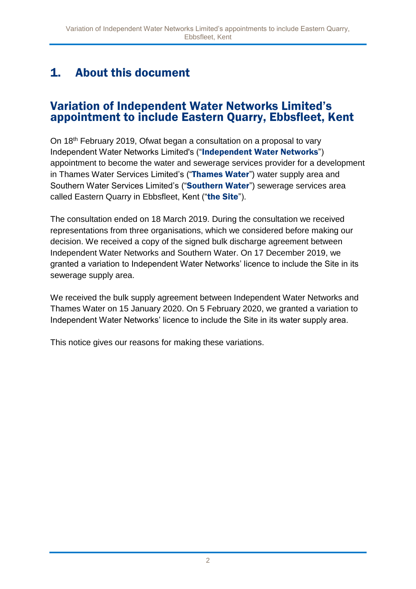# 1. About this document

#### Variation of Independent Water Networks Limited's appointment to include Eastern Quarry, Ebbsfleet, Kent

On 18th February 2019, Ofwat began a consultation on a proposal to vary Independent Water Networks Limited's ("Independent Water Networks") appointment to become the water and sewerage services provider for a development in Thames Water Services Limited's ("Thames Water") water supply area and Southern Water Services Limited's ("Southern Water") sewerage services area called Eastern Quarry in Ebbsfleet, Kent ("the Site").

The consultation ended on 18 March 2019. During the consultation we received representations from three organisations, which we considered before making our decision. We received a copy of the signed bulk discharge agreement between Independent Water Networks and Southern Water. On 17 December 2019, we granted a variation to Independent Water Networks' licence to include the Site in its sewerage supply area.

We received the bulk supply agreement between Independent Water Networks and Thames Water on 15 January 2020. On 5 February 2020, we granted a variation to Independent Water Networks' licence to include the Site in its water supply area.

This notice gives our reasons for making these variations.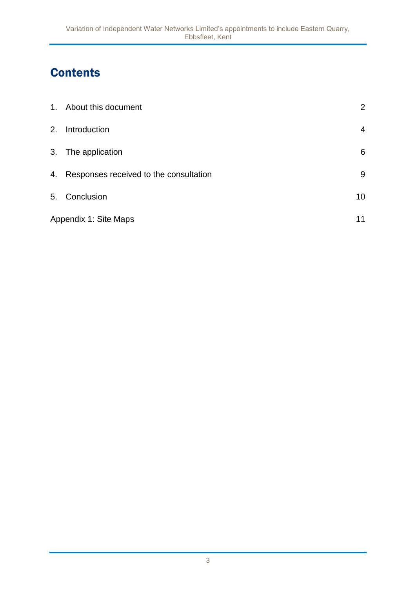# **Contents**

|                       | 1. About this document                    | $\overline{2}$  |
|-----------------------|-------------------------------------------|-----------------|
| 2.                    | Introduction                              | 4               |
|                       | 3. The application                        | 6               |
|                       | 4. Responses received to the consultation | 9               |
|                       | 5. Conclusion                             | 10 <sup>°</sup> |
| Appendix 1: Site Maps |                                           | 11              |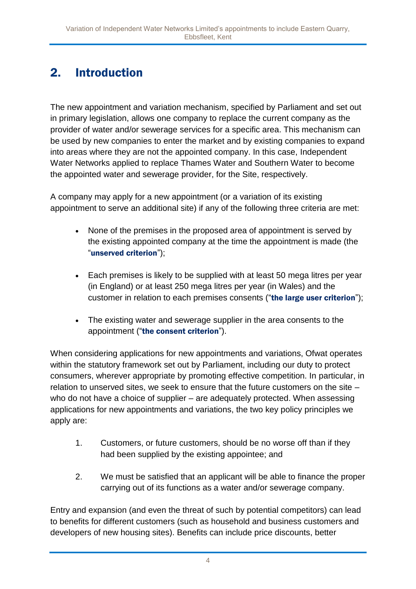# 2. Introduction

The new appointment and variation mechanism, specified by Parliament and set out in primary legislation, allows one company to replace the current company as the provider of water and/or sewerage services for a specific area. This mechanism can be used by new companies to enter the market and by existing companies to expand into areas where they are not the appointed company. In this case, Independent Water Networks applied to replace Thames Water and Southern Water to become the appointed water and sewerage provider, for the Site, respectively.

A company may apply for a new appointment (or a variation of its existing appointment to serve an additional site) if any of the following three criteria are met:

- None of the premises in the proposed area of appointment is served by the existing appointed company at the time the appointment is made (the "unserved criterion");
- Each premises is likely to be supplied with at least 50 mega litres per year (in England) or at least 250 mega litres per year (in Wales) and the customer in relation to each premises consents ("the large user criterion");
- The existing water and sewerage supplier in the area consents to the appointment ("the consent criterion").

When considering applications for new appointments and variations, Ofwat operates within the statutory framework set out by Parliament, including our duty to protect consumers, wherever appropriate by promoting effective competition. In particular, in relation to unserved sites, we seek to ensure that the future customers on the site – who do not have a choice of supplier – are adequately protected. When assessing applications for new appointments and variations, the two key policy principles we apply are:

- 1. Customers, or future customers, should be no worse off than if they had been supplied by the existing appointee; and
- 2. We must be satisfied that an applicant will be able to finance the proper carrying out of its functions as a water and/or sewerage company.

Entry and expansion (and even the threat of such by potential competitors) can lead to benefits for different customers (such as household and business customers and developers of new housing sites). Benefits can include price discounts, better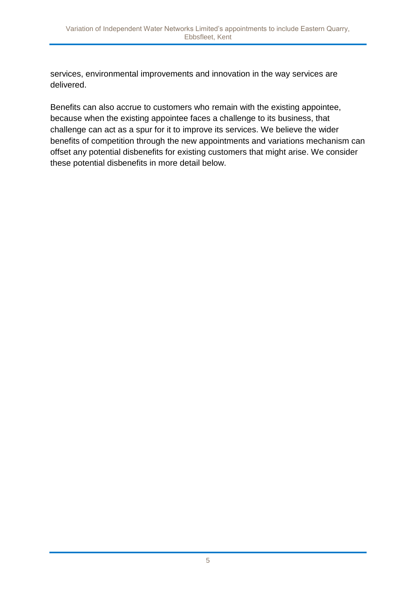services, environmental improvements and innovation in the way services are delivered.

Benefits can also accrue to customers who remain with the existing appointee, because when the existing appointee faces a challenge to its business, that challenge can act as a spur for it to improve its services. We believe the wider benefits of competition through the new appointments and variations mechanism can offset any potential disbenefits for existing customers that might arise. We consider these potential disbenefits in more detail below.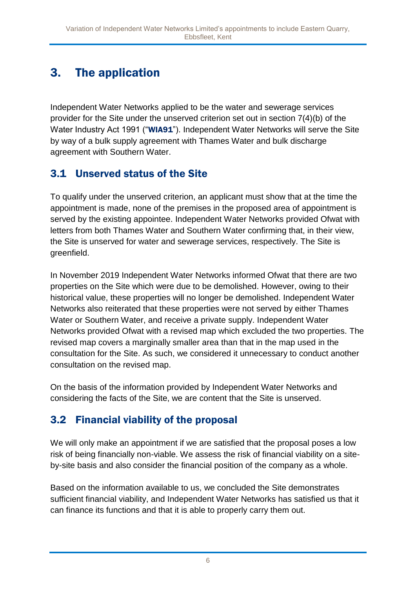# 3. The application

Independent Water Networks applied to be the water and sewerage services provider for the Site under the unserved criterion set out in section 7(4)(b) of the Water Industry Act 1991 ("WIA91"). Independent Water Networks will serve the Site by way of a bulk supply agreement with Thames Water and bulk discharge agreement with Southern Water.

#### 3.1 Unserved status of the Site

To qualify under the unserved criterion, an applicant must show that at the time the appointment is made, none of the premises in the proposed area of appointment is served by the existing appointee. Independent Water Networks provided Ofwat with letters from both Thames Water and Southern Water confirming that, in their view, the Site is unserved for water and sewerage services, respectively. The Site is greenfield.

In November 2019 Independent Water Networks informed Ofwat that there are two properties on the Site which were due to be demolished. However, owing to their historical value, these properties will no longer be demolished. Independent Water Networks also reiterated that these properties were not served by either Thames Water or Southern Water, and receive a private supply. Independent Water Networks provided Ofwat with a revised map which excluded the two properties. The revised map covers a marginally smaller area than that in the map used in the consultation for the Site. As such, we considered it unnecessary to conduct another consultation on the revised [map.](https://ofwat.sharepoint.com/sites/rms/pr-moe/_layouts/15/guestaccess.aspx?guestaccesstoken=tTbaVjz%2bW9UVwGvjFd5zkyZvNiyij%2bAbEnN7rddJ15Q%3d&docid=2_0a45561da5120440bad744867b55a4262&rev=1)

On the basis of the information provided by Independent Water Networks and considering the facts of the Site, we are content that the Site is unserved.

## 3.2 Financial viability of the proposal

We will only make an appointment if we are satisfied that the proposal poses a low risk of being financially non-viable. We assess the risk of financial viability on a siteby-site basis and also consider the financial position of the company as a whole.

Based on the information available to us, we concluded the Site demonstrates sufficient financial viability, and Independent Water Networks has satisfied us that it can finance its functions and that it is able to properly carry them out.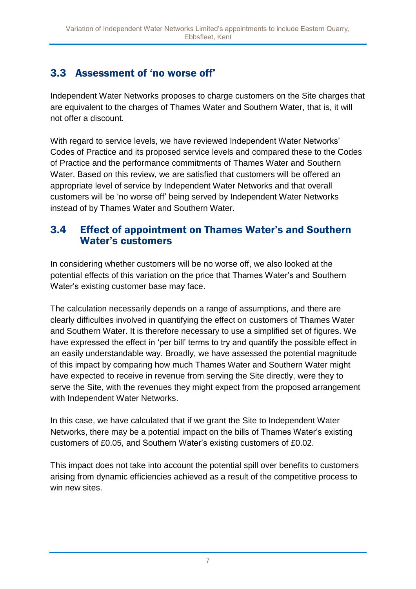## 3.3 Assessment of 'no worse off'

Independent Water Networks proposes to charge customers on the Site charges that are equivalent to the charges of Thames Water and Southern Water, that is, it will not offer a discount.

With regard to service levels, we have reviewed Independent Water Networks' Codes of Practice and its proposed service levels and compared these to the Codes of Practice and the performance commitments of Thames Water and Southern Water. Based on this review, we are satisfied that customers will be offered an appropriate level of service by Independent Water Networks and that overall customers will be 'no worse off' being served by Independent Water Networks instead of by Thames Water and Southern Water.

#### 3.4 Effect of appointment on Thames Water's and Southern Water's customers

In considering whether customers will be no worse off, we also looked at the potential effects of this variation on the price that Thames Water's and Southern Water's existing customer base may face.

The calculation necessarily depends on a range of assumptions, and there are clearly difficulties involved in quantifying the effect on customers of Thames Water and Southern Water. It is therefore necessary to use a simplified set of figures. We have expressed the effect in 'per bill' terms to try and quantify the possible effect in an easily understandable way. Broadly, we have assessed the potential magnitude of this impact by comparing how much Thames Water and Southern Water might have expected to receive in revenue from serving the Site directly, were they to serve the Site, with the revenues they might expect from the proposed arrangement with Independent Water Networks.

In this case, we have calculated that if we grant the Site to Independent Water Networks, there may be a potential impact on the bills of Thames Water's existing customers of £0.05, and Southern Water's existing customers of £0.02.

This impact does not take into account the potential spill over benefits to customers arising from dynamic efficiencies achieved as a result of the competitive process to win new sites.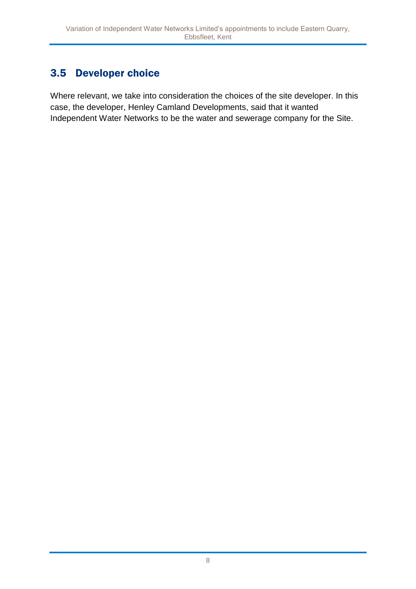## 3.5 Developer choice

Where relevant, we take into consideration the choices of the site developer. In this case, the developer, Henley Camland Developments, said that it wanted Independent Water Networks to be the water and sewerage company for the Site.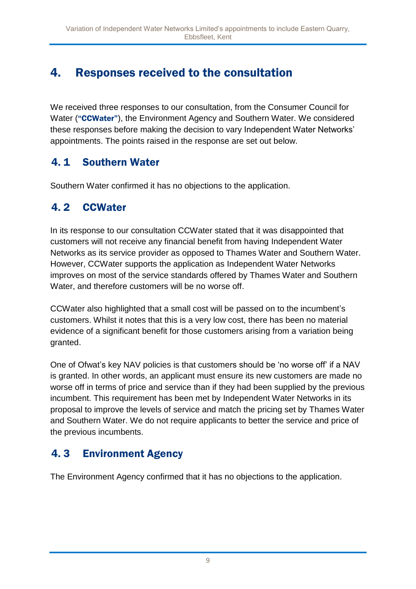## 4. Responses received to the consultation

We received three responses to our consultation, from the Consumer Council for Water ("CCWater"), the Environment Agency and Southern Water. We considered these responses before making the decision to vary Independent Water Networks' appointments. The points raised in the response are set out below.

#### 4. 1 Southern Water

Southern Water confirmed it has no objections to the application.

#### 4. 2 CCWater

In its response to our consultation CCWater stated that it was disappointed that customers will not receive any financial benefit from having Independent Water Networks as its service provider as opposed to Thames Water and Southern Water. However, CCWater supports the application as Independent Water Networks improves on most of the service standards offered by Thames Water and Southern Water, and therefore customers will be no worse off.

CCWater also highlighted that a small cost will be passed on to the incumbent's customers. Whilst it notes that this is a very low cost, there has been no material evidence of a significant benefit for those customers arising from a variation being granted.

One of Ofwat's key NAV policies is that customers should be 'no worse off' if a NAV is granted. In other words, an applicant must ensure its new customers are made no worse off in terms of price and service than if they had been supplied by the previous incumbent. This requirement has been met by Independent Water Networks in its proposal to improve the levels of service and match the pricing set by Thames Water and Southern Water. We do not require applicants to better the service and price of the previous incumbents.

## 4. 3 Environment Agency

The Environment Agency confirmed that it has no objections to the application.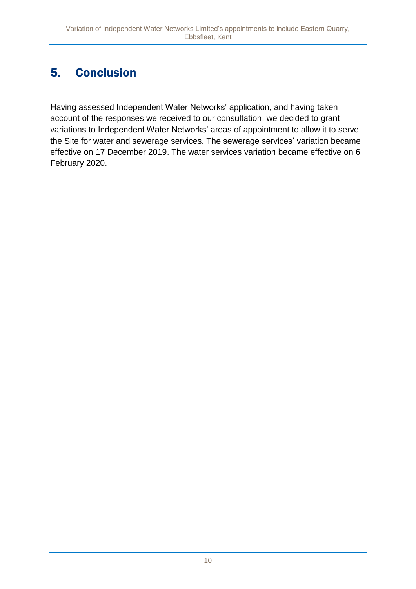# 5. Conclusion

Having assessed Independent Water Networks' application, and having taken account of the responses we received to our consultation, we decided to grant variations to Independent Water Networks' areas of appointment to allow it to serve the Site for water and sewerage services. The sewerage services' variation became effective on 17 December 2019. The water services variation became effective on 6 February 2020.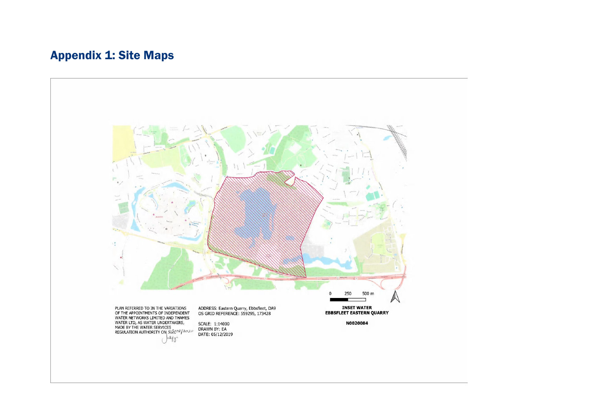## Appendix 1: Site Maps

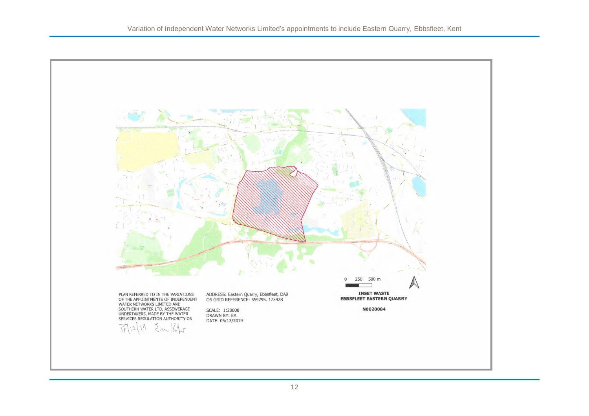